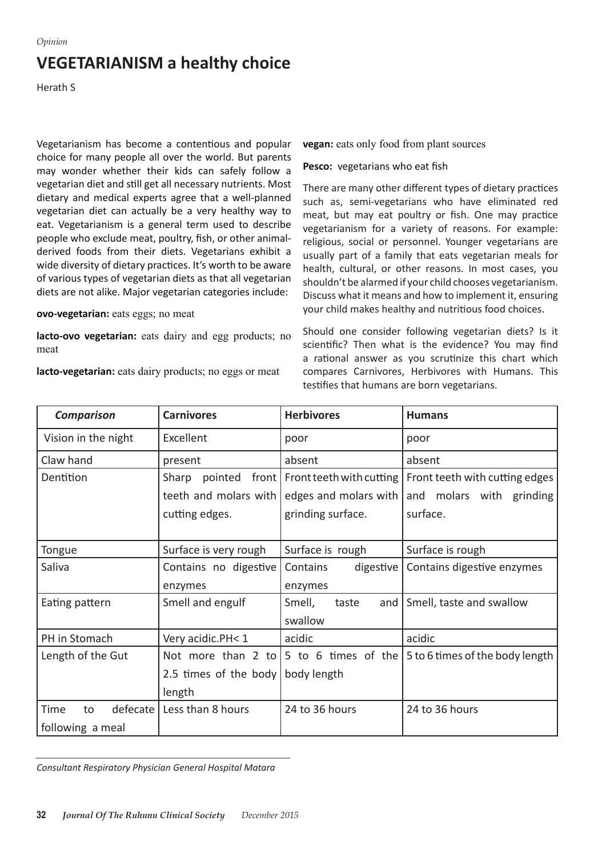## **VEGETARIANISM a healthy choice**

Herath S

Vegetarianism has become a contentious and popular choice for many people all over the world. But parents may wonder whether their kids can safely follow a vegetarian diet and still get all necessary nutrients. Most dietary and medical experts agree that a well-planned vegetarian diet can actually be a very healthy way to eat. Vegetarianism is a general term used to describe people who exclude meat, poultry, fish, or other animalderived foods from their diets. Vegetarians exhibit a wide diversity of dietary practices. It's worth to be aware of various types of vegetarian diets as that all vegetarian diets are not alike. Major vegetarian categories include:

**ovo-vegetarian:** eats eggs; no meat

**lacto-ovo vegetarian:** eats dairy and egg products; no meat

**lacto-vegetarian:** eats dairy products; no eggs or meat

**vegan:** eats only food from plant sources

## **Pesco:** vegetarians who eat fish

There are many other different types of dietary practices such as, semi-vegetarians who have eliminated red meat, but may eat poultry or fish. One may practice vegetarianism for a variety of reasons. For example: religious, social or personnel. Younger vegetarians are usually part of a family that eats vegetarian meals for health, cultural, or other reasons. In most cases, you shouldn't be alarmed if your child chooses vegetarianism. Discuss what it means and how to implement it, ensuring your child makes healthy and nutritious food choices.

Should one consider following vegetarian diets? Is it scientific? Then what is the evidence? You may find a rational answer as you scrutinize this chart which compares Carnivores, Herbivores with Humans. This testifies that humans are born vegetarians.

| <b>Comparison</b>      | <b>Carnivores</b>     | <b>Herbivores</b>                | <b>Humans</b>                                                                          |
|------------------------|-----------------------|----------------------------------|----------------------------------------------------------------------------------------|
| Vision in the night    | Excellent             | poor                             | poor                                                                                   |
| Claw hand              | present               | absent                           | absent                                                                                 |
| Dentition              | Sharp<br>pointed      | front   Front teeth with cutting | Front teeth with cutting edges                                                         |
|                        | teeth and molars with | edges and molars with            | molars with grinding<br>and                                                            |
|                        | cutting edges.        | grinding surface.                | surface.                                                                               |
|                        |                       |                                  |                                                                                        |
| Tongue                 | Surface is very rough | Surface is rough                 | Surface is rough                                                                       |
| Saliva                 | Contains no digestive | digestive<br>Contains            | Contains digestive enzymes                                                             |
|                        | enzymes               | enzymes                          |                                                                                        |
| Eating pattern         | Smell and engulf      | Smell,<br>taste<br>and           | Smell, taste and swallow                                                               |
|                        |                       | swallow                          |                                                                                        |
| PH in Stomach          | Very acidic.PH< 1     | acidic                           | acidic                                                                                 |
| Length of the Gut      |                       |                                  | Not more than 2 to $\vert 5$ to 6 times of the $\vert 5$ to 6 times of the body length |
|                        | 2.5 times of the body | body length                      |                                                                                        |
|                        | length                |                                  |                                                                                        |
| defecate<br>Time<br>to | Less than 8 hours     | 24 to 36 hours                   | 24 to 36 hours                                                                         |
| following a meal       |                       |                                  |                                                                                        |

*Consultant Respiratory Physician General Hospital Matara*